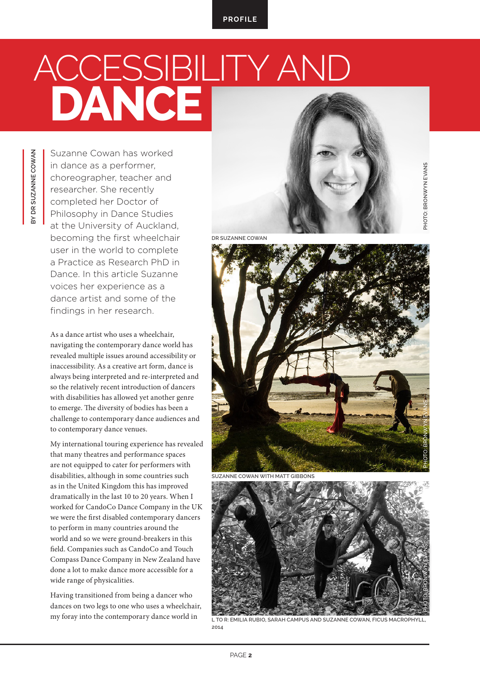## A<u>CCESSIBILITY AND</u> **DANCE**

**PHOTO: BRONWYN EVANS** 

Suzanne Cowan has worked in dance as a performer, choreographer, teacher and researcher. She recently completed her Doctor of Philosophy in Dance Studies at the University of Auckland, becoming the first wheelchair user in the world to complete a Practice as Research PhD in Dance. In this article Suzanne voices her experience as a dance artist and some of the findings in her research.

**BY DR SUZANNE COWAN**

**SV DR SUZANNE COWAN** 

As a dance artist who uses a wheelchair, navigating the contemporary dance world has revealed multiple issues around accessibility or inaccessibility. As a creative art form, dance is always being interpreted and re-interpreted and so the relatively recent introduction of dancers with disabilities has allowed yet another genre to emerge. The diversity of bodies has been a challenge to contemporary dance audiences and to contemporary dance venues.

My international touring experience has revealed that many theatres and performance spaces are not equipped to cater for performers with disabilities, although in some countries such as in the United Kingdom this has improved dramatically in the last 10 to 20 years. When I worked for CandoCo Dance Company in the UK we were the first disabled contemporary dancers to perform in many countries around the world and so we were ground-breakers in this field. Companies such as CandoCo and Touch Compass Dance Company in New Zealand have done a lot to make dance more accessible for a wide range of physicalities.

Having transitioned from being a dancer who dances on two legs to one who uses a wheelchair, my foray into the contemporary dance world in

**DR SUZANNE COWAN**



**SUZANNE COWAN WITH MATT GIBBONS**



**L TO R: EMILIA RUBIO, SARAH CAMPUS AND SUZANNE COWAN, FICUS MACROPHYLL, 2014**